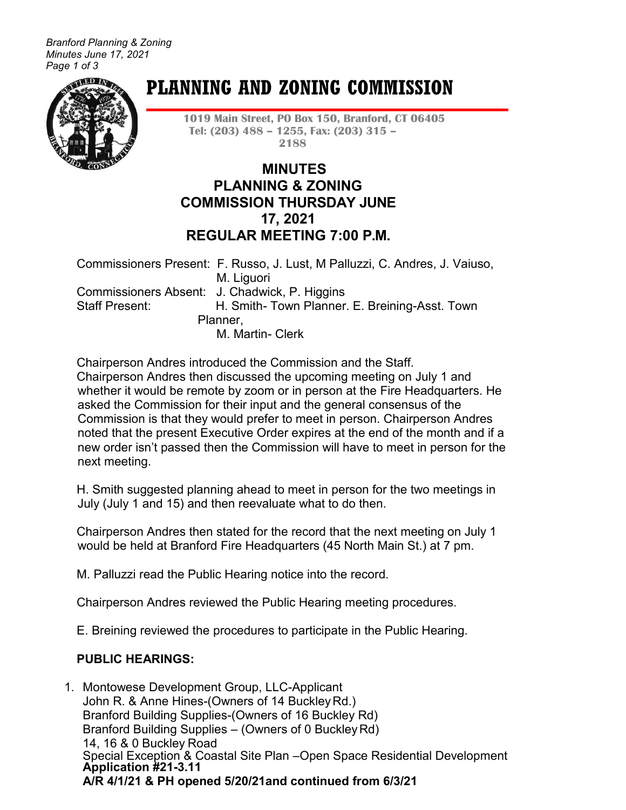*Branford Planning & Zoning Minutes June 17, 2021 Page 1 of 3*



# **PLANNING AND ZONING COMMISSION**

**1019 Main Street, PO Box 150, Branford, CT 06405 Tel: (203) 488 – 1255, Fax: (203) 315 – 2188**

## **MINUTES PLANNING & ZONING COMMISSION THURSDAY JUNE 17, 2021 REGULAR MEETING 7:00 P.M.**

Commissioners Present: F. Russo, J. Lust, M Palluzzi, C. Andres, J. Vaiuso, M. Liguori Commissioners Absent: J. Chadwick, P. Higgins Staff Present: H. Smith- Town Planner. E. Breining-Asst. Town Planner, M. Martin- Clerk

Chairperson Andres introduced the Commission and the Staff. Chairperson Andres then discussed the upcoming meeting on July 1 and whether it would be remote by zoom or in person at the Fire Headquarters. He asked the Commission for their input and the general consensus of the Commission is that they would prefer to meet in person. Chairperson Andres noted that the present Executive Order expires at the end of the month and if a new order isn't passed then the Commission will have to meet in person for the next meeting.

H. Smith suggested planning ahead to meet in person for the two meetings in July (July 1 and 15) and then reevaluate what to do then.

Chairperson Andres then stated for the record that the next meeting on July 1 would be held at Branford Fire Headquarters (45 North Main St.) at 7 pm.

M. Palluzzi read the Public Hearing notice into the record.

Chairperson Andres reviewed the Public Hearing meeting procedures.

E. Breining reviewed the procedures to participate in the Public Hearing.

## **PUBLIC HEARINGS:**

1. Montowese Development Group, LLC-Applicant John R. & Anne Hines-(Owners of 14 BuckleyRd.) Branford Building Supplies-(Owners of 16 Buckley Rd) Branford Building Supplies – (Owners of 0 BuckleyRd) 14, 16 & 0 Buckley Road Special Exception & Coastal Site Plan –Open Space Residential Development **Application #21-3.11 A/R 4/1/21 & PH opened 5/20/21and continued from 6/3/21**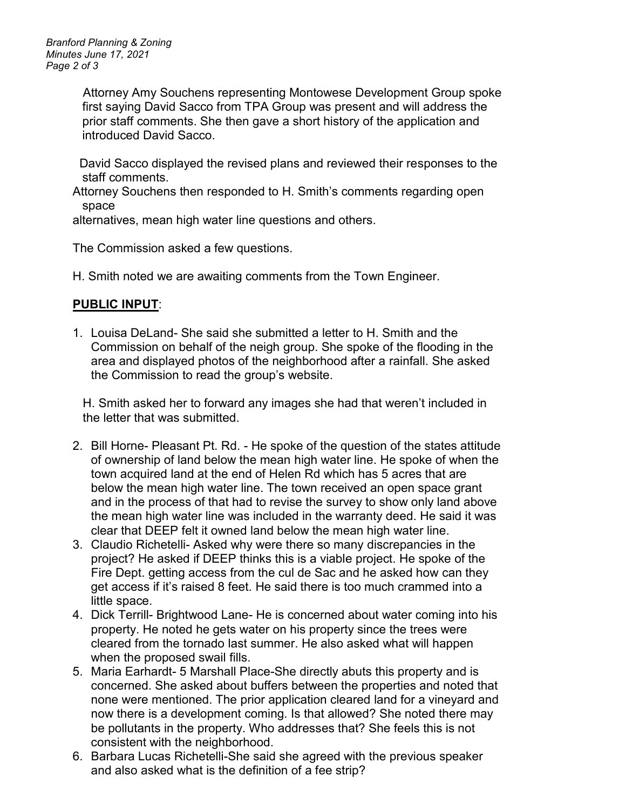*Branford Planning & Zoning Minutes June 17, 2021 Page 2 of 3*

> Attorney Amy Souchens representing Montowese Development Group spoke first saying David Sacco from TPA Group was present and will address the prior staff comments. She then gave a short history of the application and introduced David Sacco.

 David Sacco displayed the revised plans and reviewed their responses to the staff comments.

Attorney Souchens then responded to H. Smith's comments regarding open space

alternatives, mean high water line questions and others.

The Commission asked a few questions.

H. Smith noted we are awaiting comments from the Town Engineer.

## **PUBLIC INPUT**:

1. Louisa DeLand- She said she submitted a letter to H. Smith and the Commission on behalf of the neigh group. She spoke of the flooding in the area and displayed photos of the neighborhood after a rainfall. She asked the Commission to read the group's website.

H. Smith asked her to forward any images she had that weren't included in the letter that was submitted.

- 2. Bill Horne- Pleasant Pt. Rd. He spoke of the question of the states attitude of ownership of land below the mean high water line. He spoke of when the town acquired land at the end of Helen Rd which has 5 acres that are below the mean high water line. The town received an open space grant and in the process of that had to revise the survey to show only land above the mean high water line was included in the warranty deed. He said it was clear that DEEP felt it owned land below the mean high water line.
- 3. Claudio Richetelli- Asked why were there so many discrepancies in the project? He asked if DEEP thinks this is a viable project. He spoke of the Fire Dept. getting access from the cul de Sac and he asked how can they get access if it's raised 8 feet. He said there is too much crammed into a little space.
- 4. Dick Terrill- Brightwood Lane- He is concerned about water coming into his property. He noted he gets water on his property since the trees were cleared from the tornado last summer. He also asked what will happen when the proposed swail fills.
- 5. Maria Earhardt- 5 Marshall Place-She directly abuts this property and is concerned. She asked about buffers between the properties and noted that none were mentioned. The prior application cleared land for a vineyard and now there is a development coming. Is that allowed? She noted there may be pollutants in the property. Who addresses that? She feels this is not consistent with the neighborhood.
- 6. Barbara Lucas Richetelli-She said she agreed with the previous speaker and also asked what is the definition of a fee strip?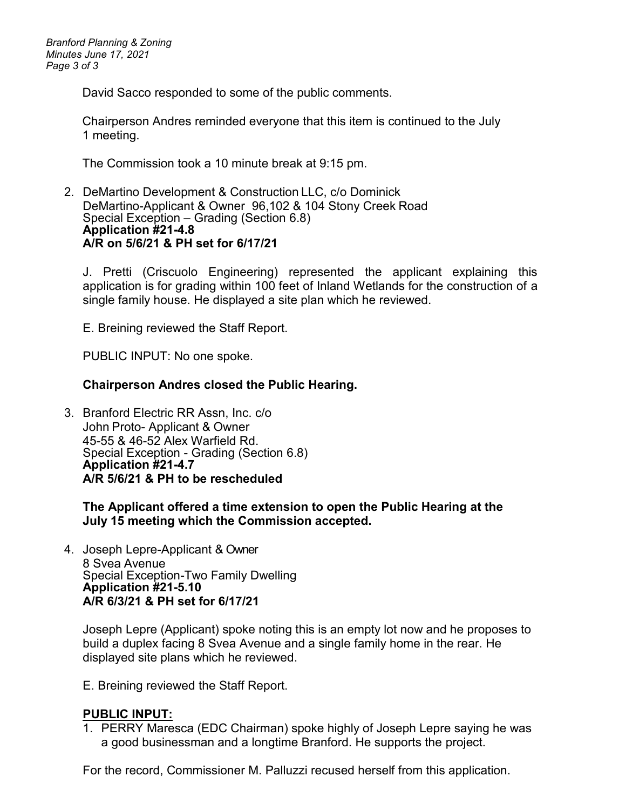*Branford Planning & Zoning Minutes June 17, 2021 Page 3 of 3*

David Sacco responded to some of the public comments.

Chairperson Andres reminded everyone that this item is continued to the July 1 meeting.

The Commission took a 10 minute break at 9:15 pm.

2. DeMartino Development & Construction LLC, c/o Dominick DeMartino-Applicant & Owner 96,102 & 104 Stony Creek Road Special Exception – Grading (Section 6.8) **Application #21-4.8 A/R on 5/6/21 & PH set for 6/17/21**

J. Pretti (Criscuolo Engineering) represented the applicant explaining this application is for grading within 100 feet of Inland Wetlands for the construction of a single family house. He displayed a site plan which he reviewed.

E. Breining reviewed the Staff Report.

PUBLIC INPUT: No one spoke.

#### **Chairperson Andres closed the Public Hearing.**

3. Branford Electric RR Assn, Inc. c/o John Proto- Applicant & Owner 45-55 & 46-52 Alex Warfield Rd. Special Exception - Grading (Section 6.8) **Application #21-4.7 A/R 5/6/21 & PH to be rescheduled** 

**The Applicant offered a time extension to open the Public Hearing at the July 15 meeting which the Commission accepted.**

4. Joseph Lepre-Applicant & Owner 8 Svea Avenue Special Exception-Two Family Dwelling **Application #21-5.10 A/R 6/3/21 & PH set for 6/17/21**

Joseph Lepre (Applicant) spoke noting this is an empty lot now and he proposes to build a duplex facing 8 Svea Avenue and a single family home in the rear. He displayed site plans which he reviewed.

E. Breining reviewed the Staff Report.

## **PUBLIC INPUT:**

1. PERRY Maresca (EDC Chairman) spoke highly of Joseph Lepre saying he was a good businessman and a longtime Branford. He supports the project.

For the record, Commissioner M. Palluzzi recused herself from this application.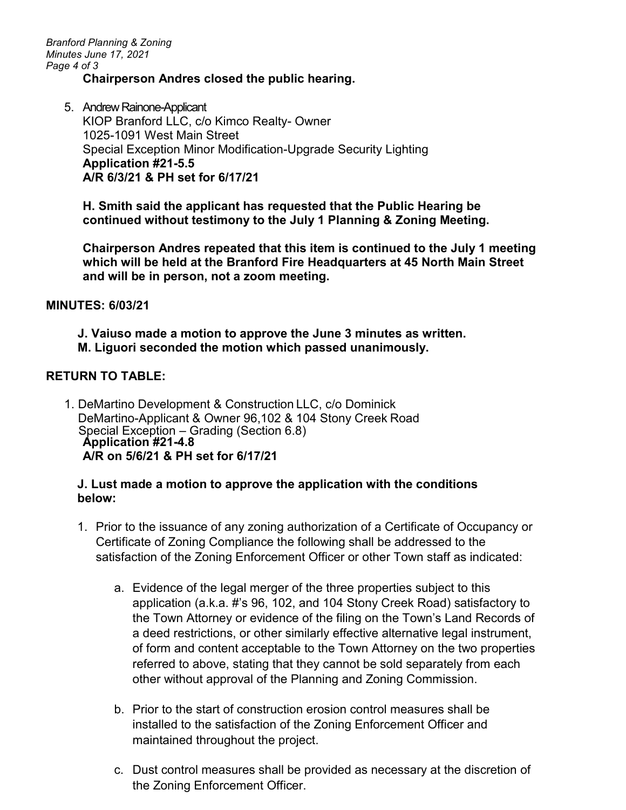*Branford Planning & Zoning Minutes June 17, 2021 Page 4 of 3*

## **Chairperson Andres closed the public hearing.**

5. Andrew Rainone-Applicant KIOP Branford LLC, c/o Kimco Realty- Owner 1025-1091 West Main Street Special Exception Minor Modification-Upgrade Security Lighting **Application #21-5.5 A/R 6/3/21 & PH set for 6/17/21**

**H. Smith said the applicant has requested that the Public Hearing be continued without testimony to the July 1 Planning & Zoning Meeting.**

**Chairperson Andres repeated that this item is continued to the July 1 meeting which will be held at the Branford Fire Headquarters at 45 North Main Street and will be in person, not a zoom meeting.** 

#### **MINUTES: 6/03/21**

**J. Vaiuso made a motion to approve the June 3 minutes as written. M. Liguori seconded the motion which passed unanimously.**

## **RETURN TO TABLE:**

1. DeMartino Development & Construction LLC, c/o Dominick DeMartino-Applicant & Owner 96,102 & 104 Stony Creek Road Special Exception – Grading (Section 6.8) **Application #21-4.8 A/R on 5/6/21 & PH set for 6/17/21**

#### **J. Lust made a motion to approve the application with the conditions below:**

- 1. Prior to the issuance of any zoning authorization of a Certificate of Occupancy or Certificate of Zoning Compliance the following shall be addressed to the satisfaction of the Zoning Enforcement Officer or other Town staff as indicated:
	- a. Evidence of the legal merger of the three properties subject to this application (a.k.a. #'s 96, 102, and 104 Stony Creek Road) satisfactory to the Town Attorney or evidence of the filing on the Town's Land Records of a deed restrictions, or other similarly effective alternative legal instrument, of form and content acceptable to the Town Attorney on the two properties referred to above, stating that they cannot be sold separately from each other without approval of the Planning and Zoning Commission.
	- b. Prior to the start of construction erosion control measures shall be installed to the satisfaction of the Zoning Enforcement Officer and maintained throughout the project.
	- c. Dust control measures shall be provided as necessary at the discretion of the Zoning Enforcement Officer.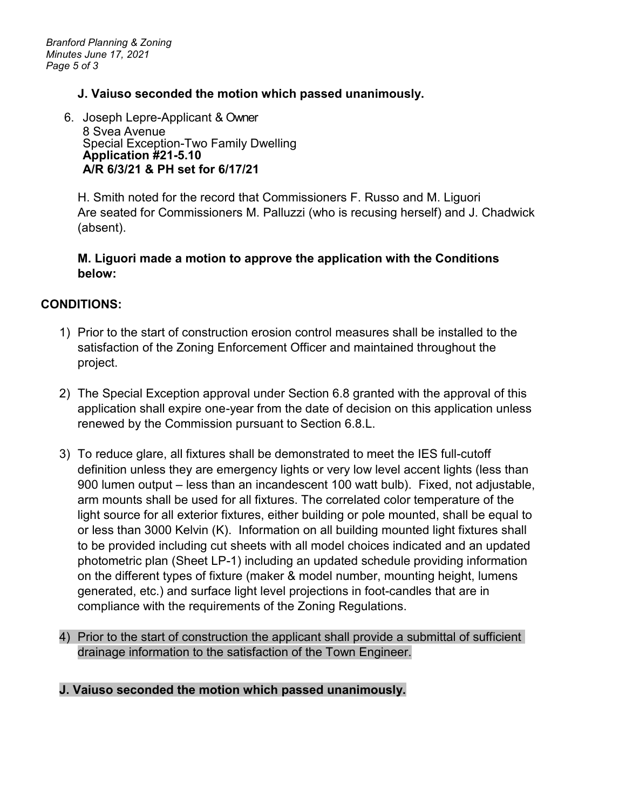## **J. Vaiuso seconded the motion which passed unanimously.**

6. Joseph Lepre-Applicant & Owner 8 Svea Avenue Special Exception-Two Family Dwelling **Application #21-5.10 A/R 6/3/21 & PH set for 6/17/21**

H. Smith noted for the record that Commissioners F. Russo and M. Liguori Are seated for Commissioners M. Palluzzi (who is recusing herself) and J. Chadwick (absent).

## **M. Liguori made a motion to approve the application with the Conditions below:**

## **CONDITIONS:**

- 1) Prior to the start of construction erosion control measures shall be installed to the satisfaction of the Zoning Enforcement Officer and maintained throughout the project.
- 2) The Special Exception approval under Section 6.8 granted with the approval of this application shall expire one-year from the date of decision on this application unless renewed by the Commission pursuant to Section 6.8.L.
- 3) To reduce glare, all fixtures shall be demonstrated to meet the IES full-cutoff definition unless they are emergency lights or very low level accent lights (less than 900 lumen output – less than an incandescent 100 watt bulb). Fixed, not adjustable, arm mounts shall be used for all fixtures. The correlated color temperature of the light source for all exterior fixtures, either building or pole mounted, shall be equal to or less than 3000 Kelvin (K). Information on all building mounted light fixtures shall to be provided including cut sheets with all model choices indicated and an updated photometric plan (Sheet LP-1) including an updated schedule providing information on the different types of fixture (maker & model number, mounting height, lumens generated, etc.) and surface light level projections in foot-candles that are in compliance with the requirements of the Zoning Regulations.
- 4) Prior to the start of construction the applicant shall provide a submittal of sufficient drainage information to the satisfaction of the Town Engineer.

## **J. Vaiuso seconded the motion which passed unanimously.**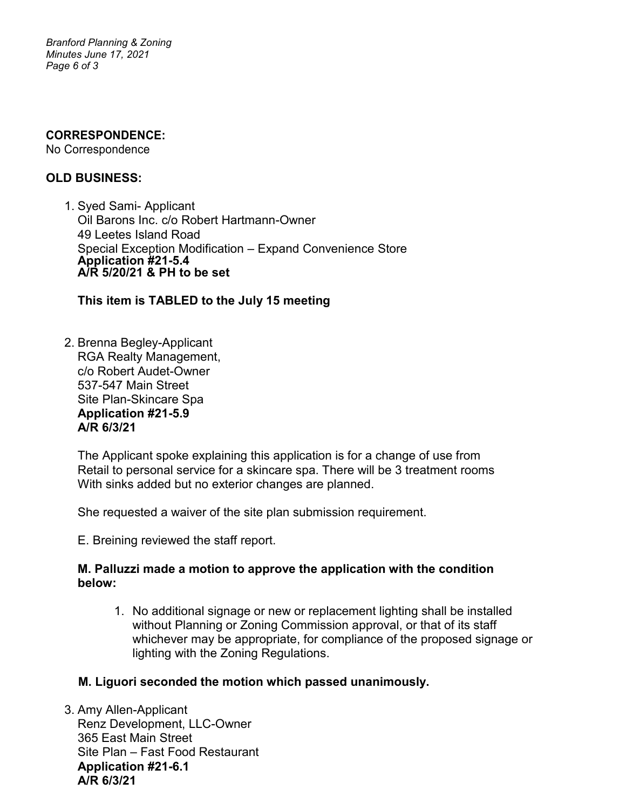*Branford Planning & Zoning Minutes June 17, 2021 Page 6 of 3*

#### **CORRESPONDENCE:**

No Correspondence

## **OLD BUSINESS:**

1. Syed Sami- Applicant Oil Barons Inc. c/o Robert Hartmann-Owner 49 Leetes Island Road Special Exception Modification – Expand Convenience Store **Application #21-5.4 A/R 5/20/21 & PH to be set**

**This item is TABLED to the July 15 meeting**

2. Brenna Begley-Applicant RGA Realty Management, c/o Robert Audet-Owner 537-547 Main Street Site Plan-Skincare Spa **Application #21-5.9 A/R 6/3/21** 

The Applicant spoke explaining this application is for a change of use from Retail to personal service for a skincare spa. There will be 3 treatment rooms With sinks added but no exterior changes are planned.

She requested a waiver of the site plan submission requirement.

E. Breining reviewed the staff report.

## **M. Palluzzi made a motion to approve the application with the condition below:**

1. No additional signage or new or replacement lighting shall be installed without Planning or Zoning Commission approval, or that of its staff whichever may be appropriate, for compliance of the proposed signage or lighting with the Zoning Regulations.

## **M. Liguori seconded the motion which passed unanimously.**

3. Amy Allen-Applicant Renz Development, LLC-Owner 365 East Main Street Site Plan – Fast Food Restaurant **Application #21-6.1 A/R 6/3/21**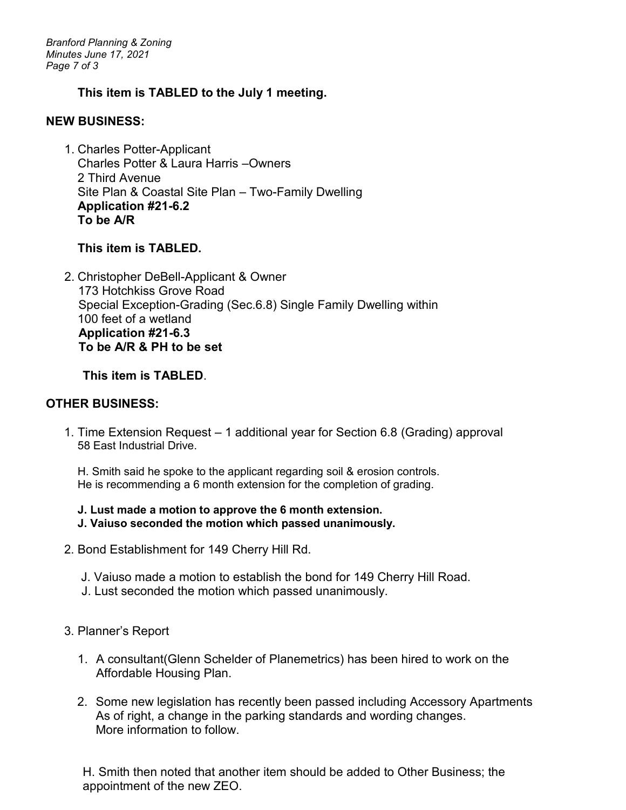*Branford Planning & Zoning Minutes June 17, 2021 Page 7 of 3*

## **This item is TABLED to the July 1 meeting.**

#### **NEW BUSINESS:**

1. Charles Potter-Applicant Charles Potter & Laura Harris –Owners 2 Third Avenue Site Plan & Coastal Site Plan – Two-Family Dwelling **Application #21-6.2 To be A/R**

## **This item is TABLED.**

2. Christopher DeBell-Applicant & Owner 173 Hotchkiss Grove Road Special Exception-Grading (Sec.6.8) Single Family Dwelling within 100 feet of a wetland  **Application #21-6.3 To be A/R & PH to be set**

**This item is TABLED**.

## **OTHER BUSINESS:**

1. Time Extension Request – 1 additional year for Section 6.8 (Grading) approval 58 East Industrial Drive.

H. Smith said he spoke to the applicant regarding soil & erosion controls. He is recommending a 6 month extension for the completion of grading.

## **J. Lust made a motion to approve the 6 month extension.**

- **J. Vaiuso seconded the motion which passed unanimously.**
- 2. Bond Establishment for 149 Cherry Hill Rd.
	- J. Vaiuso made a motion to establish the bond for 149 Cherry Hill Road.
	- J. Lust seconded the motion which passed unanimously.

## 3. Planner's Report

- 1. A consultant(Glenn Schelder of Planemetrics) has been hired to work on the Affordable Housing Plan.
- 2. Some new legislation has recently been passed including Accessory Apartments As of right, a change in the parking standards and wording changes. More information to follow.

H. Smith then noted that another item should be added to Other Business; the appointment of the new ZEO.